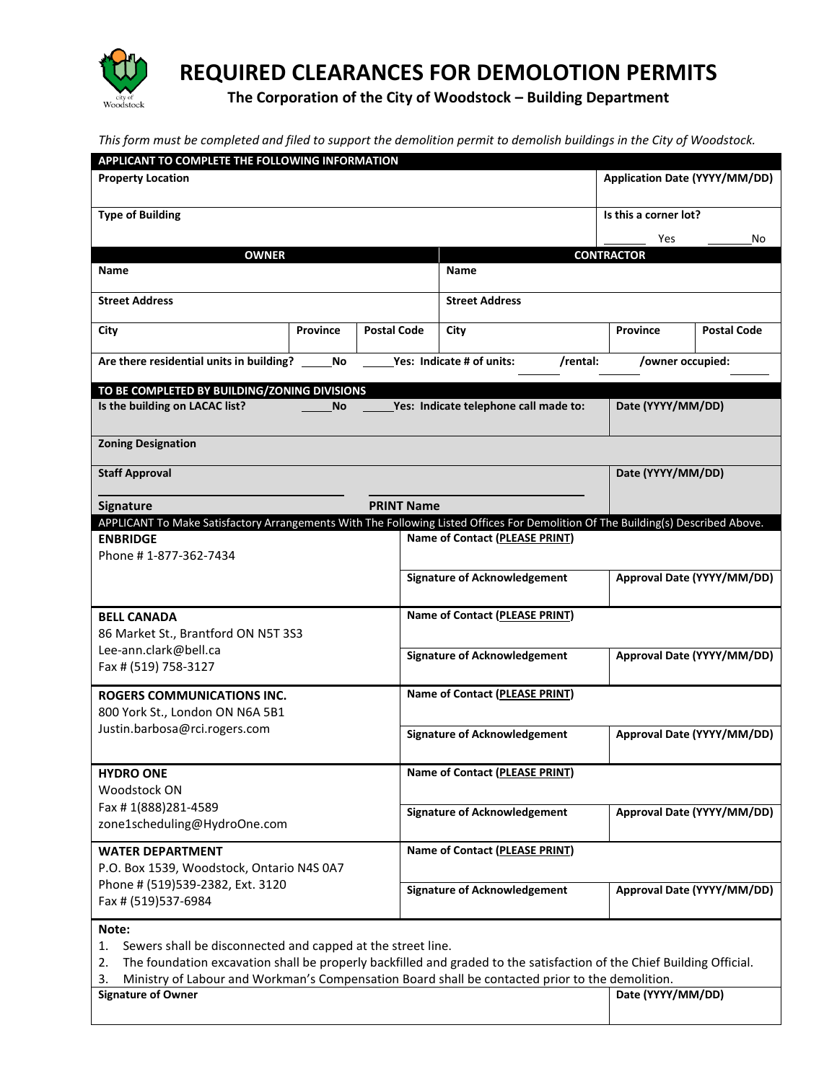

**REQUIRED CLEARANCES FOR DEMOLOTION PERMITS**

**The Corporation of the City of Woodstock – Building Department**

*This form must be completed and filed to support the demolition permit to demolish buildings in the City of Woodstock.*

| APPLICANT TO COMPLETE THE FOLLOWING INFORMATION                                                                                  |                 |                       |                                       |                   |                               |  |
|----------------------------------------------------------------------------------------------------------------------------------|-----------------|-----------------------|---------------------------------------|-------------------|-------------------------------|--|
| <b>Property Location</b>                                                                                                         |                 |                       |                                       |                   | Application Date (YYYY/MM/DD) |  |
| <b>Type of Building</b>                                                                                                          |                 | Is this a corner lot? |                                       |                   |                               |  |
|                                                                                                                                  |                 |                       |                                       | Yes               | No                            |  |
| <b>OWNER</b>                                                                                                                     |                 |                       |                                       | <b>CONTRACTOR</b> |                               |  |
| <b>Name</b>                                                                                                                      |                 |                       | <b>Name</b>                           |                   |                               |  |
| <b>Street Address</b>                                                                                                            |                 |                       | <b>Street Address</b>                 |                   |                               |  |
| City                                                                                                                             | <b>Province</b> | <b>Postal Code</b>    | City                                  | Province          | <b>Postal Code</b>            |  |
| Are there residential units in building?                                                                                         | No.             |                       | Yes: Indicate # of units:<br>/rental: | /owner occupied:  |                               |  |
| TO BE COMPLETED BY BUILDING/ZONING DIVISIONS                                                                                     |                 |                       |                                       |                   |                               |  |
| Is the building on LACAC list?                                                                                                   | <b>No</b>       |                       | Yes: Indicate telephone call made to: | Date (YYYY/MM/DD) |                               |  |
| <b>Zoning Designation</b>                                                                                                        |                 |                       |                                       |                   |                               |  |
| <b>Staff Approval</b>                                                                                                            |                 |                       |                                       | Date (YYYY/MM/DD) |                               |  |
| Signature                                                                                                                        |                 | <b>PRINT Name</b>     |                                       |                   |                               |  |
| APPLICANT To Make Satisfactory Arrangements With The Following Listed Offices For Demolition Of The Building(s) Described Above. |                 |                       |                                       |                   |                               |  |
| <b>ENBRIDGE</b>                                                                                                                  |                 |                       | Name of Contact (PLEASE PRINT)        |                   |                               |  |
| Phone #1-877-362-7434                                                                                                            |                 |                       |                                       |                   |                               |  |
|                                                                                                                                  |                 |                       | <b>Signature of Acknowledgement</b>   |                   | Approval Date (YYYY/MM/DD)    |  |
| <b>BELL CANADA</b>                                                                                                               |                 |                       | Name of Contact (PLEASE PRINT)        |                   |                               |  |
| 86 Market St., Brantford ON N5T 3S3                                                                                              |                 |                       |                                       |                   |                               |  |
| Lee-ann.clark@bell.ca                                                                                                            |                 |                       | <b>Signature of Acknowledgement</b>   |                   | Approval Date (YYYY/MM/DD)    |  |
| Fax # (519) 758-3127                                                                                                             |                 |                       |                                       |                   |                               |  |
| <b>ROGERS COMMUNICATIONS INC.</b>                                                                                                |                 |                       | <b>Name of Contact (PLEASE PRINT)</b> |                   |                               |  |
| 800 York St., London ON N6A 5B1                                                                                                  |                 |                       |                                       |                   |                               |  |
| Justin.barbosa@rci.rogers.com                                                                                                    |                 |                       | <b>Signature of Acknowledgement</b>   |                   | Approval Date (YYYY/MM/DD)    |  |
|                                                                                                                                  |                 |                       |                                       |                   |                               |  |
| <b>HYDRO ONE</b>                                                                                                                 |                 |                       | <b>Name of Contact (PLEASE PRINT)</b> |                   |                               |  |
| Woodstock ON                                                                                                                     |                 |                       |                                       |                   |                               |  |
| Fax #1(888)281-4589                                                                                                              |                 |                       | <b>Signature of Acknowledgement</b>   |                   | Approval Date (YYYY/MM/DD)    |  |
| zone1scheduling@HydroOne.com                                                                                                     |                 |                       |                                       |                   |                               |  |
| <b>WATER DEPARTMENT</b>                                                                                                          |                 |                       | <b>Name of Contact (PLEASE PRINT)</b> |                   |                               |  |
| P.O. Box 1539, Woodstock, Ontario N4S 0A7                                                                                        |                 |                       |                                       |                   |                               |  |
| Phone # (519)539-2382, Ext. 3120                                                                                                 |                 |                       | <b>Signature of Acknowledgement</b>   |                   | Approval Date (YYYY/MM/DD)    |  |
| Fax # (519)537-6984                                                                                                              |                 |                       |                                       |                   |                               |  |
| Note:                                                                                                                            |                 |                       |                                       |                   |                               |  |
| Sewers shall be disconnected and capped at the street line.<br>1.                                                                |                 |                       |                                       |                   |                               |  |
| The foundation excavation shall be properly backfilled and graded to the satisfaction of the Chief Building Official.<br>2.      |                 |                       |                                       |                   |                               |  |
| Ministry of Labour and Workman's Compensation Board shall be contacted prior to the demolition.<br>3.                            |                 |                       |                                       |                   |                               |  |

| <b>Signature of Owner</b> |  | Date (YYYY/MM/DD) |
|---------------------------|--|-------------------|
|                           |  |                   |
|                           |  |                   |
|                           |  |                   |